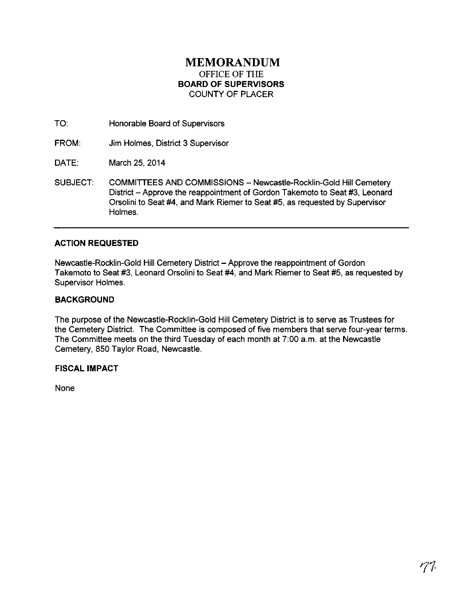# **MEMORANDUM**  OFFICE OF THE **BOARD OF SUPERVISORS**  COUNTY OF PLACER

TO: Honorable Board of Supervisors

FROM: Jim Holmes, District 3 Supervisor

DATE: March 25, 2014

SUBJECT: COMMITTEES AND COMMISSIONS- Newcastle-Rocklin-Gold Hill Cemetery District - Approve the reappointment of Gordon Takemoto to Seat #3, Leonard Orsolini to Seat #4, and Mark Riemer to Seat #5, as requested by Supervisor Holmes.

## **ACTION REQUESTED**

Newcastle-Rocklin-Gold Hill Cemetery District - Approve the reappointment of Gordon Takemoto to Seat #3, Leonard Orsolini to Seat #4, and Mark Riemer to Seat #5, as requested by Supervisor Holmes.

## **BACKGROUND**

The purpose of the Newcastle-Rocklin-Gold Hill Cemetery District is to serve as Trustees for the Cemetery District. The Committee is composed of five members that serve four-year terms. The Committee meets on the third Tuesday of each month at 7:00 a.m. at the Newcastle Cemetery, 850 Taylor Road, Newcastle.

## **FISCAL IMPACT**

None